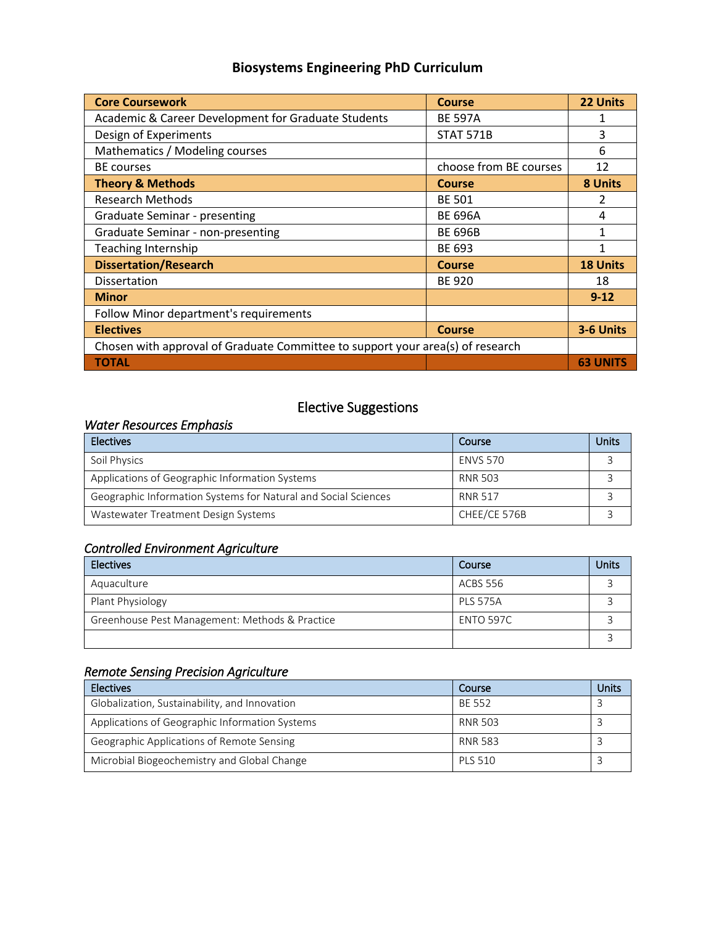## **Biosystems Engineering PhD Curriculum**

| <b>Core Coursework</b>                                                         | <b>Course</b>          | 22 Units        |  |  |
|--------------------------------------------------------------------------------|------------------------|-----------------|--|--|
| Academic & Career Development for Graduate Students                            | <b>BE 597A</b>         |                 |  |  |
| Design of Experiments                                                          | <b>STAT 571B</b>       | 3               |  |  |
| Mathematics / Modeling courses                                                 |                        | 6               |  |  |
| <b>BE</b> courses                                                              | choose from BE courses | 12              |  |  |
| <b>Theory &amp; Methods</b>                                                    | <b>Course</b>          | 8 Units         |  |  |
| <b>Research Methods</b>                                                        | <b>BE 501</b>          | $\mathfrak{p}$  |  |  |
| Graduate Seminar - presenting                                                  | <b>BE 696A</b>         | 4               |  |  |
| Graduate Seminar - non-presenting                                              | <b>BE 696B</b>         |                 |  |  |
| <b>Teaching Internship</b>                                                     | BE 693                 |                 |  |  |
| <b>Dissertation/Research</b>                                                   | Course                 | <b>18 Units</b> |  |  |
| Dissertation                                                                   | <b>BE 920</b>          | 18              |  |  |
| <b>Minor</b>                                                                   |                        | $9 - 12$        |  |  |
| Follow Minor department's requirements                                         |                        |                 |  |  |
| <b>Electives</b>                                                               | <b>Course</b>          | 3-6 Units       |  |  |
| Chosen with approval of Graduate Committee to support your area(s) of research |                        |                 |  |  |
| <b>TOTAL</b>                                                                   |                        | <b>63 UNITS</b> |  |  |

# Elective Suggestions

#### *Water Resources Emphasis*

| <b>Electives</b>                                               | Course          | Units |
|----------------------------------------------------------------|-----------------|-------|
| Soil Physics                                                   | <b>ENVS 570</b> |       |
| Applications of Geographic Information Systems                 | RNR 503         |       |
| Geographic Information Systems for Natural and Social Sciences | <b>RNR 517</b>  |       |
| Wastewater Treatment Design Systems                            | CHEE/CE 576B    |       |

### *Controlled Environment Agriculture*

| <b>Electives</b>                               | Course           | Units |
|------------------------------------------------|------------------|-------|
| Aquaculture                                    | ACBS 556         |       |
| Plant Physiology                               | <b>PLS 575A</b>  |       |
| Greenhouse Pest Management: Methods & Practice | <b>ENTO 597C</b> |       |
|                                                |                  |       |

### *Remote Sensing Precision Agriculture*

| <b>Electives</b>                               | Course         | Jnits |
|------------------------------------------------|----------------|-------|
| Globalization, Sustainability, and Innovation  | <b>BE 552</b>  |       |
| Applications of Geographic Information Systems | <b>RNR 503</b> |       |
| Geographic Applications of Remote Sensing      | RNR 583        |       |
| Microbial Biogeochemistry and Global Change    | <b>PLS 510</b> |       |